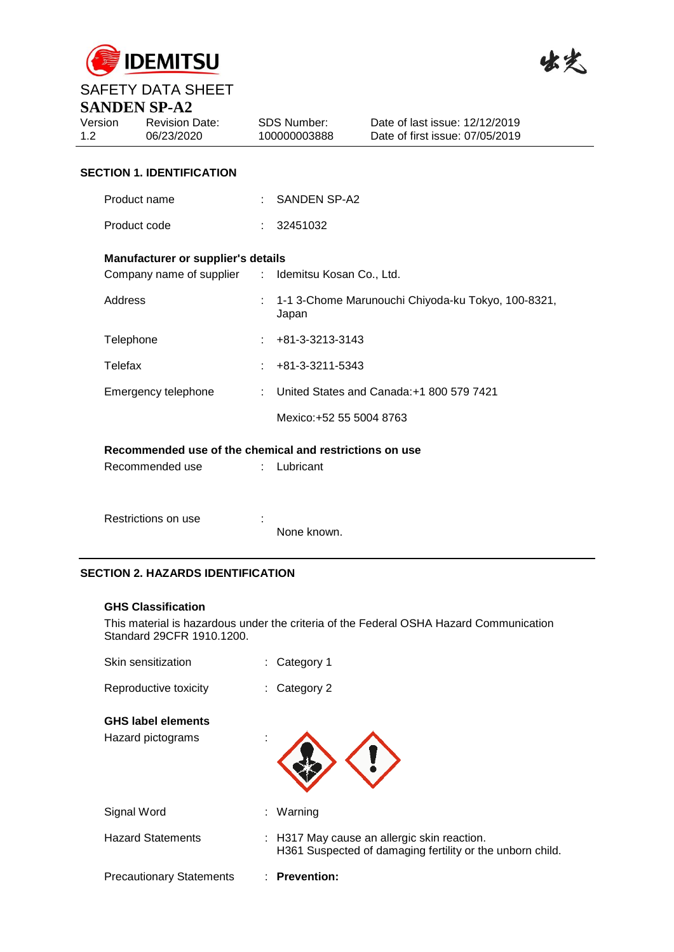



# SAFETY DATA SHEET **SANDEN SP-A2**

|                             | DANDEN DI "AZ                                           |    |                                    |                                                                   |
|-----------------------------|---------------------------------------------------------|----|------------------------------------|-------------------------------------------------------------------|
| Version<br>1.2 <sub>1</sub> | <b>Revision Date:</b><br>06/23/2020                     |    | <b>SDS Number:</b><br>100000003888 | Date of last issue: 12/12/2019<br>Date of first issue: 07/05/2019 |
|                             | <b>SECTION 1. IDENTIFICATION</b>                        |    |                                    |                                                                   |
|                             | Product name                                            |    | SANDEN SP-A2                       |                                                                   |
|                             | Product code                                            |    | 32451032                           |                                                                   |
|                             | Manufacturer or supplier's details                      |    |                                    |                                                                   |
|                             | Company name of supplier : Idemitsu Kosan Co., Ltd.     |    |                                    |                                                                   |
|                             | Address                                                 |    | Japan                              | 1-1 3-Chome Marunouchi Chiyoda-ku Tokyo, 100-8321,                |
|                             | Telephone                                               |    | +81-3-3213-3143                    |                                                                   |
|                             | Telefax                                                 |    | +81-3-3211-5343                    |                                                                   |
|                             | Emergency telephone                                     | t. |                                    | United States and Canada: +1 800 579 7421                         |
|                             |                                                         |    | Mexico: +52 55 5004 8763           |                                                                   |
|                             | Recommended use of the chemical and restrictions on use |    |                                    |                                                                   |
|                             | Recommended use                                         |    | Lubricant                          |                                                                   |
|                             |                                                         |    |                                    |                                                                   |
|                             | Restrictions on use                                     |    |                                    |                                                                   |

# **SECTION 2. HAZARDS IDENTIFICATION**

#### **GHS Classification**

This material is hazardous under the criteria of the Federal OSHA Hazard Communication Standard 29CFR 1910.1200.

None known.

| Skin sensitization              |   | Category 1                                                                                               |
|---------------------------------|---|----------------------------------------------------------------------------------------------------------|
| Reproductive toxicity           |   | $:$ Category 2                                                                                           |
| <b>GHS label elements</b>       |   |                                                                                                          |
| Hazard pictograms               | ٠ |                                                                                                          |
| Signal Word                     |   | : Warning                                                                                                |
| <b>Hazard Statements</b>        |   | : H317 May cause an allergic skin reaction.<br>H361 Suspected of damaging fertility or the unborn child. |
| <b>Precautionary Statements</b> |   | : Prevention:                                                                                            |
|                                 |   |                                                                                                          |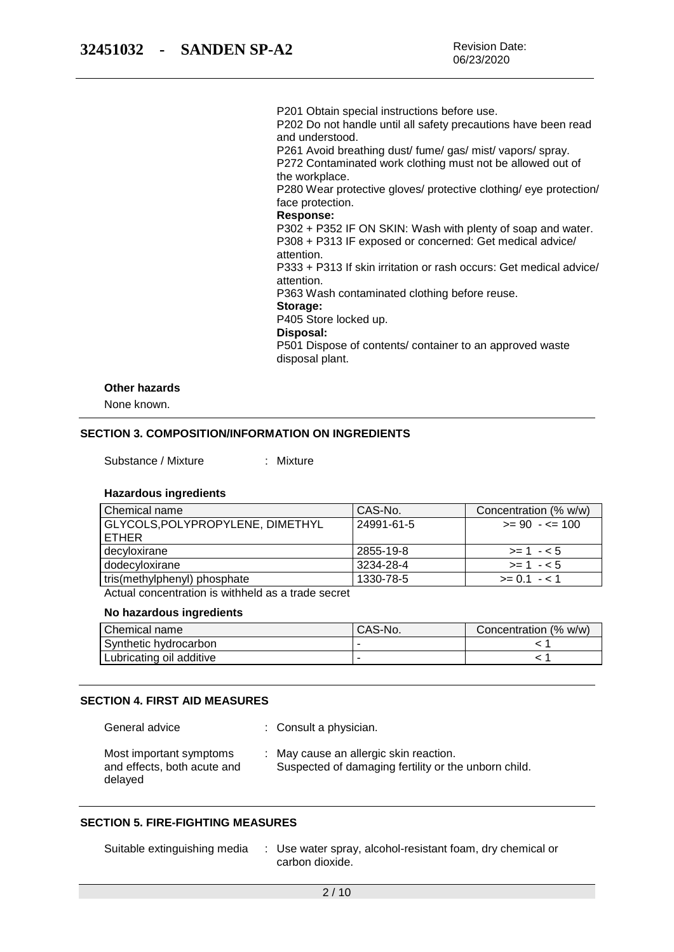P201 Obtain special instructions before use. P202 Do not handle until all safety precautions have been read

and understood.

P261 Avoid breathing dust/ fume/ gas/ mist/ vapors/ spray. P272 Contaminated work clothing must not be allowed out of the workplace.

P280 Wear protective gloves/ protective clothing/ eye protection/ face protection.

### **Response:**

P302 + P352 IF ON SKIN: Wash with plenty of soap and water. P308 + P313 IF exposed or concerned: Get medical advice/ attention.

P333 + P313 If skin irritation or rash occurs: Get medical advice/ attention.

P363 Wash contaminated clothing before reuse.

#### **Storage:**

P405 Store locked up.

#### **Disposal:**

P501 Dispose of contents/ container to an approved waste disposal plant.

#### **Other hazards**

None known.

### **SECTION 3. COMPOSITION/INFORMATION ON INGREDIENTS**

Substance / Mixture : Mixture

#### **Hazardous ingredients**

| Chemical name                    | CAS-No.    | Concentration (% w/w) |
|----------------------------------|------------|-----------------------|
| GLYCOLS, POLYPROPYLENE, DIMETHYL | 24991-61-5 | $>= 90 - 5 = 100$     |
| <b>ETHER</b>                     |            |                       |
| decyloxirane                     | 2855-19-8  | $>= 1 - 5$            |
| dodecyloxirane                   | 3234-28-4  | $>= 1 - 5$            |
| tris(methylphenyl) phosphate     | 1330-78-5  | $>= 0.1 - 1.1$        |

Actual concentration is withheld as a trade secret

## **No hazardous ingredients**

| Chemical name            | CAS-No. | Concentration (% w/w) |
|--------------------------|---------|-----------------------|
| Synthetic hydrocarbon    |         |                       |
| Lubricating oil additive |         |                       |

#### **SECTION 4. FIRST AID MEASURES**

General advice : Consult a physician.

Most important symptoms and effects, both acute and delayed : May cause an allergic skin reaction. Suspected of damaging fertility or the unborn child.

### **SECTION 5. FIRE-FIGHTING MEASURES**

Suitable extinguishing media : Use water spray, alcohol-resistant foam, dry chemical or carbon dioxide.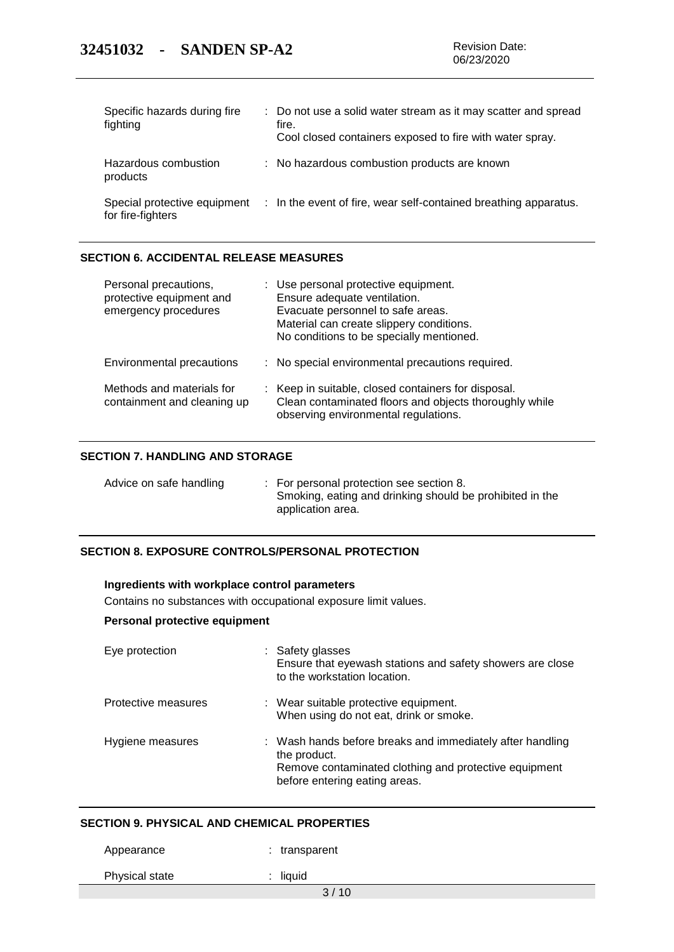| Specific hazards during fire<br>fighting          | : Do not use a solid water stream as it may scatter and spread<br>fire.<br>Cool closed containers exposed to fire with water spray. |
|---------------------------------------------------|-------------------------------------------------------------------------------------------------------------------------------------|
| Hazardous combustion<br>products                  | : No hazardous combustion products are known                                                                                        |
| Special protective equipment<br>for fire-fighters | : In the event of fire, wear self-contained breathing apparatus.                                                                    |

### **SECTION 6. ACCIDENTAL RELEASE MEASURES**

| Personal precautions,<br>protective equipment and<br>emergency procedures | : Use personal protective equipment.<br>Ensure adequate ventilation.<br>Evacuate personnel to safe areas.<br>Material can create slippery conditions.<br>No conditions to be specially mentioned. |
|---------------------------------------------------------------------------|---------------------------------------------------------------------------------------------------------------------------------------------------------------------------------------------------|
| Environmental precautions                                                 | : No special environmental precautions required.                                                                                                                                                  |
| Methods and materials for<br>containment and cleaning up                  | : Keep in suitable, closed containers for disposal.<br>Clean contaminated floors and objects thoroughly while<br>observing environmental regulations.                                             |

## **SECTION 7. HANDLING AND STORAGE**

| Advice on safe handling |  | : For personal protection see section 8.<br>Smoking, eating and drinking should be prohibited in the<br>application area. |
|-------------------------|--|---------------------------------------------------------------------------------------------------------------------------|
|-------------------------|--|---------------------------------------------------------------------------------------------------------------------------|

# **SECTION 8. EXPOSURE CONTROLS/PERSONAL PROTECTION**

### **Ingredients with workplace control parameters**

Contains no substances with occupational exposure limit values.

### **Personal protective equipment**

| Eye protection      | : Safety glasses<br>Ensure that eyewash stations and safety showers are close<br>to the workstation location.                                                       |
|---------------------|---------------------------------------------------------------------------------------------------------------------------------------------------------------------|
| Protective measures | : Wear suitable protective equipment.<br>When using do not eat, drink or smoke.                                                                                     |
| Hygiene measures    | : Wash hands before breaks and immediately after handling<br>the product.<br>Remove contaminated clothing and protective equipment<br>before entering eating areas. |

# **SECTION 9. PHYSICAL AND CHEMICAL PROPERTIES**

| Appearance     | : transparent |  |
|----------------|---------------|--|
| Physical state | $:$ liquid    |  |
|                | 3/10          |  |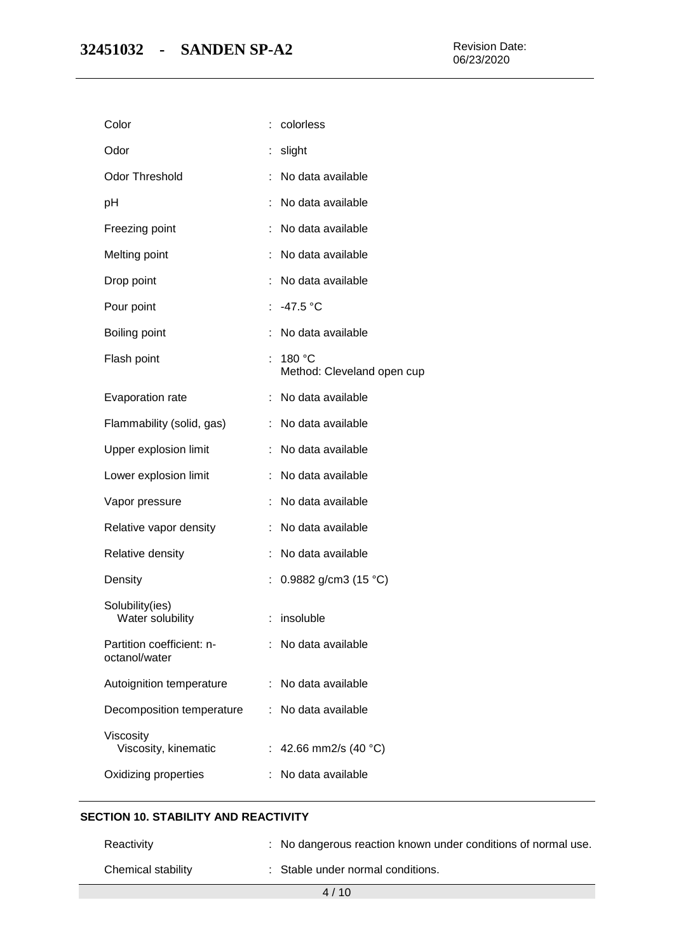| colorless                                 |
|-------------------------------------------|
| slight                                    |
| No data available                         |
| No data available                         |
| No data available                         |
| No data available                         |
| No data available                         |
| : $-47.5$ °C                              |
| No data available                         |
| 180 °C<br>t<br>Method: Cleveland open cup |
| : No data available                       |
| No data available                         |
| No data available                         |
| : No data available                       |
| No data available                         |
| No data available                         |
| No data available                         |
| 0.9882 g/cm3 (15 $^{\circ}$ C)            |
| : insoluble                               |
| ×,<br>No data available                   |
| No data available                         |
| No data available                         |
| 42.66 mm2/s (40 °C)                       |
| No data available                         |
|                                           |

# **SECTION 10. STABILITY AND REACTIVITY**

| Reactivity         | : No dangerous reaction known under conditions of normal use. |
|--------------------|---------------------------------------------------------------|
| Chemical stability | : Stable under normal conditions.                             |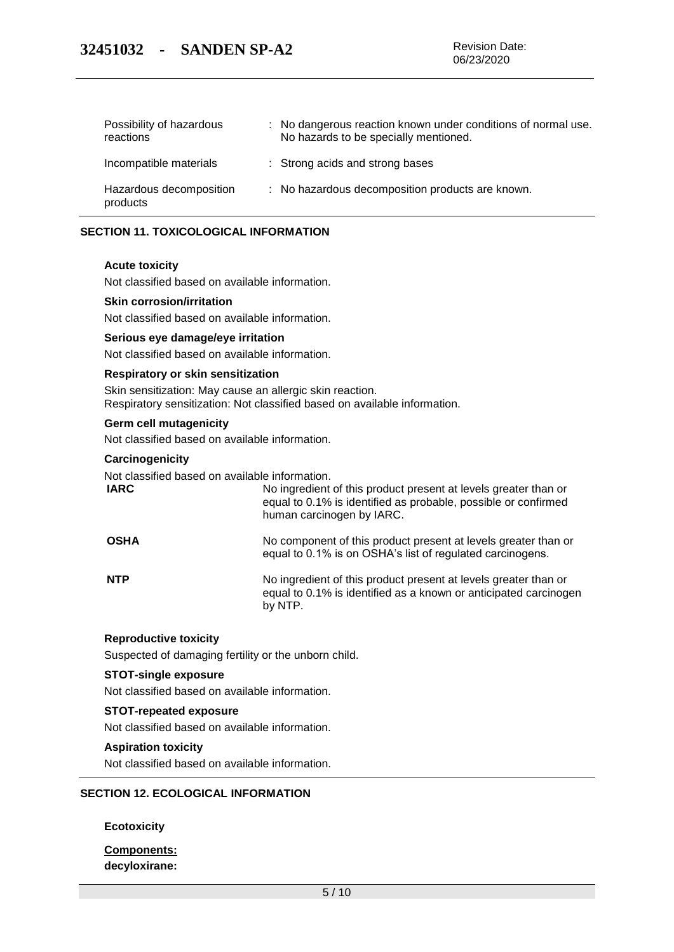| Possibility of hazardous<br>reactions | : No dangerous reaction known under conditions of normal use.<br>No hazards to be specially mentioned. |
|---------------------------------------|--------------------------------------------------------------------------------------------------------|
| Incompatible materials                | : Strong acids and strong bases                                                                        |
| Hazardous decomposition<br>products   | : No hazardous decomposition products are known.                                                       |

### **SECTION 11. TOXICOLOGICAL INFORMATION**

#### **Acute toxicity**

Not classified based on available information.

#### **Skin corrosion/irritation**

Not classified based on available information.

#### **Serious eye damage/eye irritation**

Not classified based on available information.

#### **Respiratory or skin sensitization**

Skin sensitization: May cause an allergic skin reaction. Respiratory sensitization: Not classified based on available information.

#### **Germ cell mutagenicity**

Not classified based on available information.

#### **Carcinogenicity**

Not classified based on available information.

| <b>IARC</b> | No ingredient of this product present at levels greater than or<br>equal to 0.1% is identified as probable, possible or confirmed<br>human carcinogen by IARC. |
|-------------|----------------------------------------------------------------------------------------------------------------------------------------------------------------|
| <b>OSHA</b> | No component of this product present at levels greater than or<br>equal to 0.1% is on OSHA's list of regulated carcinogens.                                    |
|             | Michael School Michael of the Concert Communication of the College of Communication of the Communication of th                                                 |

**NTP** No ingredient of this product present at levels greater than or equal to 0.1% is identified as a known or anticipated carcinogen by NTP.

### **Reproductive toxicity**

Suspected of damaging fertility or the unborn child.

#### **STOT-single exposure**

Not classified based on available information.

#### **STOT-repeated exposure**

Not classified based on available information.

### **Aspiration toxicity**

Not classified based on available information.

#### **SECTION 12. ECOLOGICAL INFORMATION**

#### **Ecotoxicity**

**Components: decyloxirane:**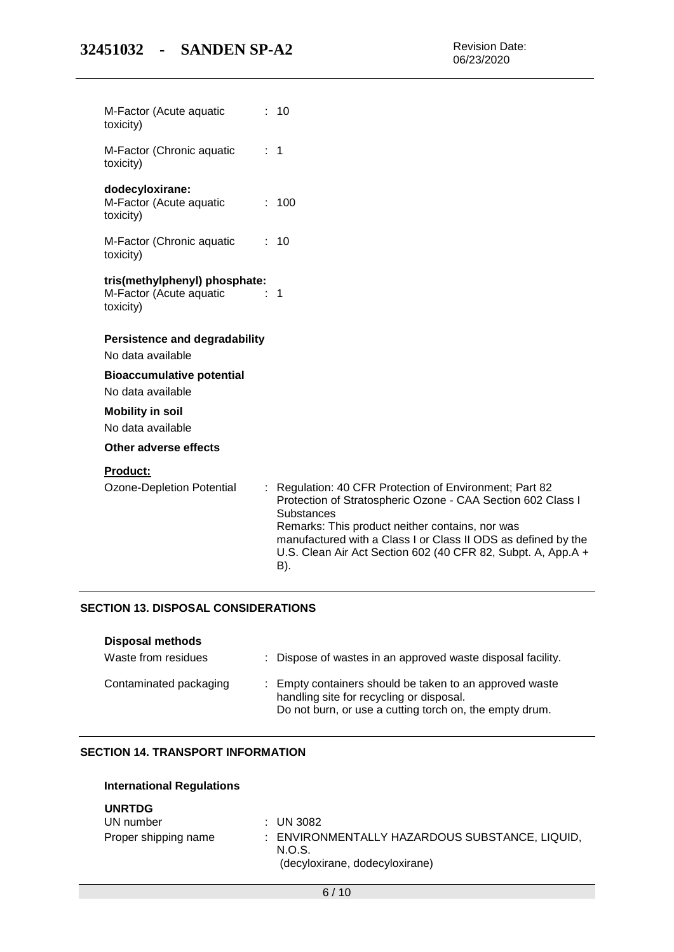| M-Factor (Acute aquatic<br>toxicity)                                              |   | : 10                                                                                                                                                                                                                                                                                                                                 |
|-----------------------------------------------------------------------------------|---|--------------------------------------------------------------------------------------------------------------------------------------------------------------------------------------------------------------------------------------------------------------------------------------------------------------------------------------|
| M-Factor (Chronic aquatic<br>toxicity)                                            |   | $\therefore$ 1                                                                                                                                                                                                                                                                                                                       |
| dodecyloxirane:<br>M-Factor (Acute aquatic<br>toxicity)                           |   | : 100                                                                                                                                                                                                                                                                                                                                |
| M-Factor (Chronic aquatic<br>toxicity)                                            |   | : 10                                                                                                                                                                                                                                                                                                                                 |
| tris(methylphenyl) phosphate:<br>M-Factor (Acute aquatic<br>$\sim$ 1<br>toxicity) |   |                                                                                                                                                                                                                                                                                                                                      |
| <b>Persistence and degradability</b>                                              |   |                                                                                                                                                                                                                                                                                                                                      |
| No data available                                                                 |   |                                                                                                                                                                                                                                                                                                                                      |
| <b>Bioaccumulative potential</b><br>No data available                             |   |                                                                                                                                                                                                                                                                                                                                      |
| <b>Mobility in soil</b>                                                           |   |                                                                                                                                                                                                                                                                                                                                      |
| No data available                                                                 |   |                                                                                                                                                                                                                                                                                                                                      |
| Other adverse effects                                                             |   |                                                                                                                                                                                                                                                                                                                                      |
| <b>Product:</b>                                                                   |   |                                                                                                                                                                                                                                                                                                                                      |
| <b>Ozone-Depletion Potential</b>                                                  | ÷ | Regulation: 40 CFR Protection of Environment; Part 82<br>Protection of Stratospheric Ozone - CAA Section 602 Class I<br><b>Substances</b><br>Remarks: This product neither contains, nor was<br>manufactured with a Class I or Class II ODS as defined by the<br>U.S. Clean Air Act Section 602 (40 CFR 82, Subpt. A, App.A +<br>B). |

# **SECTION 13. DISPOSAL CONSIDERATIONS**

| <b>Disposal methods</b><br>Waste from residues | : Dispose of wastes in an approved waste disposal facility.                                                                                                    |
|------------------------------------------------|----------------------------------------------------------------------------------------------------------------------------------------------------------------|
| Contaminated packaging                         | : Empty containers should be taken to an approved waste<br>handling site for recycling or disposal.<br>Do not burn, or use a cutting torch on, the empty drum. |

# **SECTION 14. TRANSPORT INFORMATION**

| ---------            |                                                                                            |
|----------------------|--------------------------------------------------------------------------------------------|
| UN number            | $\therefore$ UN 3082                                                                       |
| Proper shipping name | : ENVIRONMENTALLY HAZARDOUS SUBSTANCE, LIQUID,<br>N.O.S.<br>(decyloxirane, dodecyloxirane) |
|                      |                                                                                            |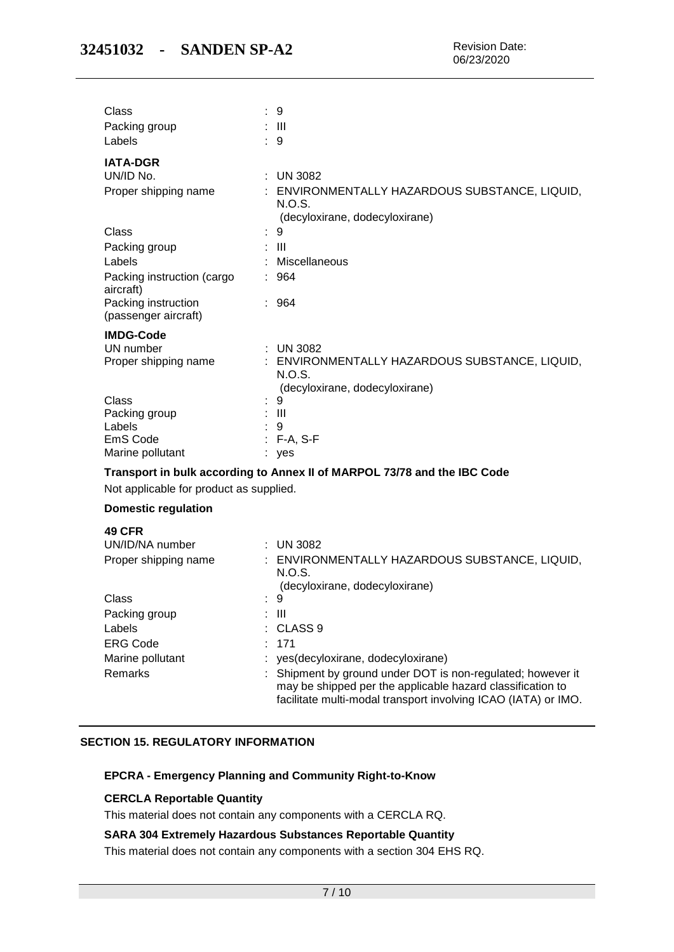| Class<br>Packing group                      | : 9<br>- 111                                                                             |
|---------------------------------------------|------------------------------------------------------------------------------------------|
| Labels                                      | 9                                                                                        |
| <b>IATA-DGR</b>                             |                                                                                          |
| UN/ID No.                                   | <b>UN 3082</b>                                                                           |
| Proper shipping name                        | ENVIRONMENTALLY HAZARDOUS SUBSTANCE, LIQUID,<br>N.O.S.<br>(decyloxirane, dodecyloxirane) |
| Class                                       | 9                                                                                        |
| Packing group                               | $\pm$ 111                                                                                |
| Labels                                      | Miscellaneous                                                                            |
| Packing instruction (cargo<br>aircraft)     | : 964                                                                                    |
| Packing instruction<br>(passenger aircraft) | : 964                                                                                    |
| <b>IMDG-Code</b>                            |                                                                                          |
| UN number                                   | $:$ UN 3082                                                                              |
| Proper shipping name                        | : ENVIRONMENTALLY HAZARDOUS SUBSTANCE, LIQUID,                                           |
|                                             | N.O.S.<br>(decyloxirane, dodecyloxirane)                                                 |
| Class                                       | 9                                                                                        |
| Packing group                               | $\blacksquare$                                                                           |
| Labels                                      | 9                                                                                        |
| EmS Code<br>Marine pollutant                | $F-A, S-F$                                                                               |
|                                             | ves                                                                                      |
|                                             | Transport in bulk according to Annex II of MARPOL 73/78 and the IBC Code                 |
| Not applicable for product as supplied.     |                                                                                          |
| <b>Domestic regulation</b>                  |                                                                                          |
| <b>49 CFR</b>                               |                                                                                          |
| UN/ID/NA number                             | $:$ UN 3082                                                                              |
| Proper shipping name                        | : ENVIRONMENTALLY HAZARDOUS SUBSTANCE, LIQUID,<br>N.O.S.                                 |

|                  | (decyloxirane, dodecyloxirane)                                                                                                                                                              |
|------------------|---------------------------------------------------------------------------------------------------------------------------------------------------------------------------------------------|
| Class            | : 9                                                                                                                                                                                         |
| Packing group    | : III                                                                                                                                                                                       |
| Labels           | $\therefore$ CLASS 9                                                                                                                                                                        |
| <b>ERG Code</b>  | : 171                                                                                                                                                                                       |
| Marine pollutant | : yes(decyloxirane, dodecyloxirane)                                                                                                                                                         |
| Remarks          | : Shipment by ground under DOT is non-regulated; however it<br>may be shipped per the applicable hazard classification to<br>facilitate multi-modal transport involving ICAO (IATA) or IMO. |

# **SECTION 15. REGULATORY INFORMATION**

## **EPCRA - Emergency Planning and Community Right-to-Know**

# **CERCLA Reportable Quantity**

This material does not contain any components with a CERCLA RQ.

### **SARA 304 Extremely Hazardous Substances Reportable Quantity**

This material does not contain any components with a section 304 EHS RQ.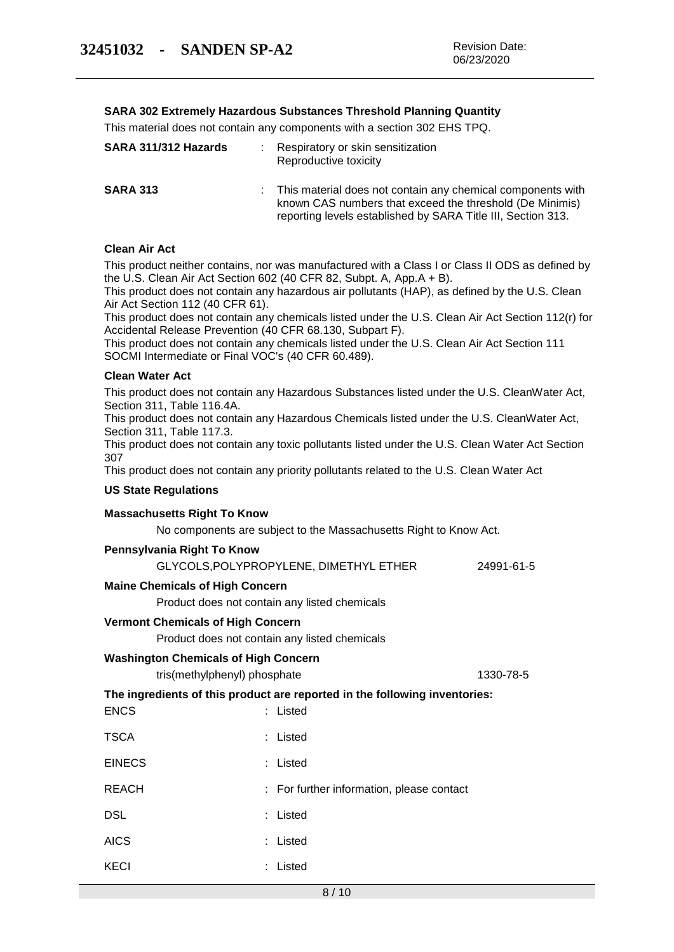## **SARA 302 Extremely Hazardous Substances Threshold Planning Quantity**

This material does not contain any components with a section 302 EHS TPQ.

| SARA 311/312 Hazards | Respiratory or skin sensitization<br>Reproductive toxicity                                                                                                                              |
|----------------------|-----------------------------------------------------------------------------------------------------------------------------------------------------------------------------------------|
| <b>SARA 313</b>      | This material does not contain any chemical components with<br>known CAS numbers that exceed the threshold (De Minimis)<br>reporting levels established by SARA Title III, Section 313. |

### **Clean Air Act**

This product neither contains, nor was manufactured with a Class I or Class II ODS as defined by the U.S. Clean Air Act Section 602 (40 CFR 82, Subpt. A, App.A + B).

This product does not contain any hazardous air pollutants (HAP), as defined by the U.S. Clean Air Act Section 112 (40 CFR 61).

This product does not contain any chemicals listed under the U.S. Clean Air Act Section 112(r) for Accidental Release Prevention (40 CFR 68.130, Subpart F).

This product does not contain any chemicals listed under the U.S. Clean Air Act Section 111 SOCMI Intermediate or Final VOC's (40 CFR 60.489).

### **Clean Water Act**

This product does not contain any Hazardous Substances listed under the U.S. CleanWater Act, Section 311, Table 116.4A.

This product does not contain any Hazardous Chemicals listed under the U.S. CleanWater Act, Section 311, Table 117.3.

This product does not contain any toxic pollutants listed under the U.S. Clean Water Act Section 307

This product does not contain any priority pollutants related to the U.S. Clean Water Act

### **US State Regulations**

#### **Massachusetts Right To Know**

No components are subject to the Massachusetts Right to Know Act.

#### **Pennsylvania Right To Know**

KECI : Listed

|                                                                            | GLYCOLS, POLYPROPYLENE, DIMETHYL ETHER        | 24991-61-5 |  |
|----------------------------------------------------------------------------|-----------------------------------------------|------------|--|
| <b>Maine Chemicals of High Concern</b>                                     |                                               |            |  |
|                                                                            | Product does not contain any listed chemicals |            |  |
| <b>Vermont Chemicals of High Concern</b>                                   |                                               |            |  |
|                                                                            | Product does not contain any listed chemicals |            |  |
| <b>Washington Chemicals of High Concern</b>                                |                                               |            |  |
| tris(methylphenyl) phosphate                                               |                                               | 1330-78-5  |  |
| The ingredients of this product are reported in the following inventories: |                                               |            |  |
| <b>ENCS</b>                                                                | : Listed                                      |            |  |
| <b>TSCA</b>                                                                | : Listed                                      |            |  |
| <b>EINECS</b>                                                              | : Listed                                      |            |  |
| <b>REACH</b>                                                               | : For further information, please contact     |            |  |
| <b>DSL</b>                                                                 | : Listed                                      |            |  |
| <b>AICS</b>                                                                | : Listed                                      |            |  |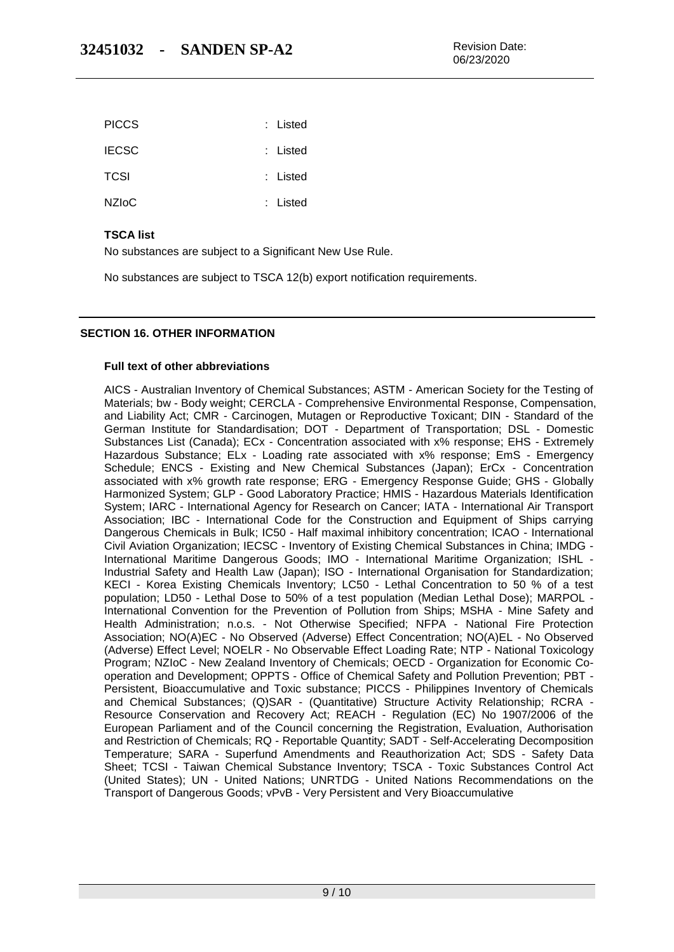| <b>PICCS</b> | : Listed |
|--------------|----------|
| <b>IECSC</b> | : Listed |
| <b>TCSI</b>  | : Listed |
| <b>NZIOC</b> | : Listed |

# **TSCA list**

No substances are subject to a Significant New Use Rule.

No substances are subject to TSCA 12(b) export notification requirements.

### **SECTION 16. OTHER INFORMATION**

### **Full text of other abbreviations**

AICS - Australian Inventory of Chemical Substances; ASTM - American Society for the Testing of Materials; bw - Body weight; CERCLA - Comprehensive Environmental Response, Compensation, and Liability Act; CMR - Carcinogen, Mutagen or Reproductive Toxicant; DIN - Standard of the German Institute for Standardisation; DOT - Department of Transportation; DSL - Domestic Substances List (Canada); ECx - Concentration associated with x% response; EHS - Extremely Hazardous Substance; ELx - Loading rate associated with x% response; EmS - Emergency Schedule; ENCS - Existing and New Chemical Substances (Japan); ErCx - Concentration associated with x% growth rate response; ERG - Emergency Response Guide; GHS - Globally Harmonized System; GLP - Good Laboratory Practice; HMIS - Hazardous Materials Identification System; IARC - International Agency for Research on Cancer; IATA - International Air Transport Association; IBC - International Code for the Construction and Equipment of Ships carrying Dangerous Chemicals in Bulk; IC50 - Half maximal inhibitory concentration; ICAO - International Civil Aviation Organization; IECSC - Inventory of Existing Chemical Substances in China; IMDG - International Maritime Dangerous Goods; IMO - International Maritime Organization; ISHL - Industrial Safety and Health Law (Japan); ISO - International Organisation for Standardization; KECI - Korea Existing Chemicals Inventory; LC50 - Lethal Concentration to 50 % of a test population; LD50 - Lethal Dose to 50% of a test population (Median Lethal Dose); MARPOL - International Convention for the Prevention of Pollution from Ships; MSHA - Mine Safety and Health Administration; n.o.s. - Not Otherwise Specified; NFPA - National Fire Protection Association; NO(A)EC - No Observed (Adverse) Effect Concentration; NO(A)EL - No Observed (Adverse) Effect Level; NOELR - No Observable Effect Loading Rate; NTP - National Toxicology Program; NZIoC - New Zealand Inventory of Chemicals; OECD - Organization for Economic Cooperation and Development; OPPTS - Office of Chemical Safety and Pollution Prevention; PBT - Persistent, Bioaccumulative and Toxic substance; PICCS - Philippines Inventory of Chemicals and Chemical Substances; (Q)SAR - (Quantitative) Structure Activity Relationship; RCRA - Resource Conservation and Recovery Act; REACH - Regulation (EC) No 1907/2006 of the European Parliament and of the Council concerning the Registration, Evaluation, Authorisation and Restriction of Chemicals; RQ - Reportable Quantity; SADT - Self-Accelerating Decomposition Temperature; SARA - Superfund Amendments and Reauthorization Act; SDS - Safety Data Sheet; TCSI - Taiwan Chemical Substance Inventory; TSCA - Toxic Substances Control Act (United States); UN - United Nations; UNRTDG - United Nations Recommendations on the Transport of Dangerous Goods; vPvB - Very Persistent and Very Bioaccumulative